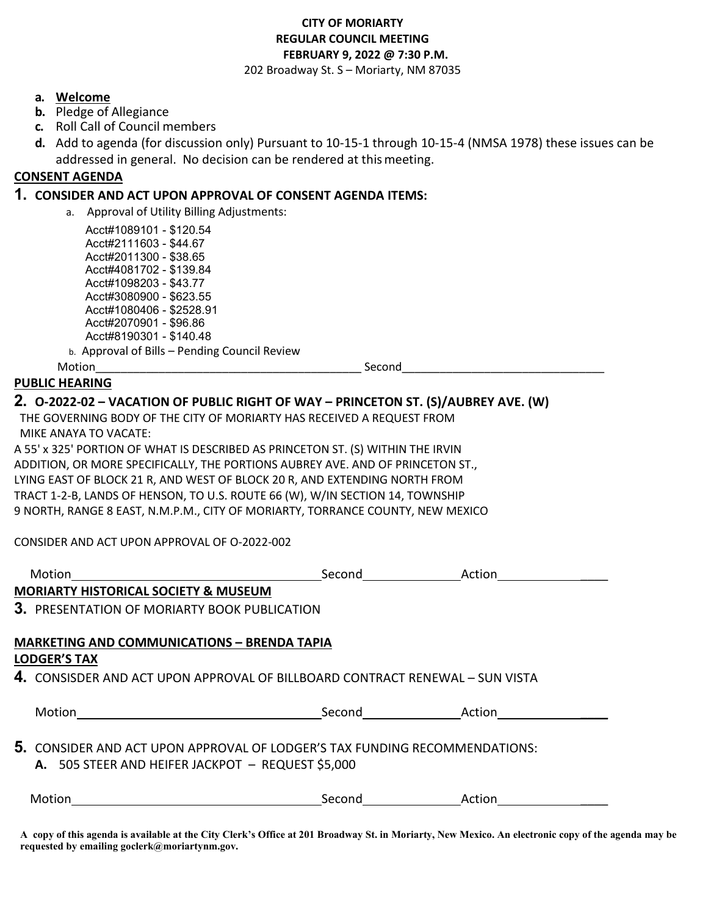# **CITY OF MORIARTY REGULAR COUNCIL MEETING FEBRUARY 9, 2022 @ 7:30 P.M.**

202 Broadway St. S – Moriarty, NM 87035

#### **a. Welcome**

- **b.** Pledge of Allegiance
- **c.** Roll Call of Council members
- **d.** Add to agenda (for discussion only) Pursuant to 10-15-1 through 10-15-4 (NMSA 1978) these issues can be addressed in general. No decision can be rendered at thismeeting.

## **CONSENT AGENDA**

#### **1. CONSIDER AND ACT UPON APPROVAL OF CONSENT AGENDA ITEMS:**

a. Approval of Utility Billing Adjustments:

 Acct#1089101 - \$120.54 Acct#2111603 - \$44.67 Acct#2011300 - \$38.65 Acct#4081702 - \$139.84 Acct#1098203 - \$43.77 Acct#3080900 - \$623.55 Acct#1080406 - \$2528.91 Acct#2070901 - \$96.86 Acct#8190301 - \$140.48 b. Approval of Bills – Pending Council Review

Motion\_\_\_\_\_\_\_\_\_\_\_\_\_\_\_\_\_\_\_\_\_\_\_\_\_\_\_\_\_\_\_\_\_\_\_\_\_\_\_\_\_\_ Second\_\_\_\_\_\_\_\_\_\_\_\_\_\_\_\_\_\_\_\_\_\_\_\_\_\_\_\_\_\_\_\_

# **PUBLIC HEARING**

## **2. O-2022-02 – VACATION OF PUBLIC RIGHT OF WAY – PRINCETON ST. (S)/AUBREY AVE. (W)**

THE GOVERNING BODY OF THE CITY OF MORIARTY HAS RECEIVED A REQUEST FROM MIKE ANAYA TO VACATE:

A 55' x 325' PORTION OF WHAT IS DESCRIBED AS PRINCETON ST. (S) WITHIN THE IRVIN ADDITION, OR MORE SPECIFICALLY, THE PORTIONS AUBREY AVE. AND OF PRINCETON ST., LYING EAST OF BLOCK 21 R, AND WEST OF BLOCK 20 R, AND EXTENDING NORTH FROM TRACT 1-2-B, LANDS OF HENSON, TO U.S. ROUTE 66 (W), W/IN SECTION 14, TOWNSHIP 9 NORTH, RANGE 8 EAST, N.M.P.M., CITY OF MORIARTY, TORRANCE COUNTY, NEW MEXICO

CONSIDER AND ACT UPON APPROVAL OF O-2022-002

| Motion                                                                                                                                 | Second        | Action |
|----------------------------------------------------------------------------------------------------------------------------------------|---------------|--------|
| MORIARTY HISTORICAL SOCIETY & MUSEUM                                                                                                   |               |        |
| 3. PRESENTATION OF MORIARTY BOOK PUBLICATION                                                                                           |               |        |
| <b>MARKETING AND COMMUNICATIONS - BRENDA TAPIA</b>                                                                                     |               |        |
| <b>LODGER'S TAX</b>                                                                                                                    |               |        |
| 4. CONSISDER AND ACT UPON APPROVAL OF BILLBOARD CONTRACT RENEWAL - SUN VISTA                                                           |               |        |
|                                                                                                                                        | Second Action |        |
| <b>5.</b> CONSIDER AND ACT UPON APPROVAL OF LODGER'S TAX FUNDING RECOMMENDATIONS:<br>A. 505 STEER AND HEIFER JACKPOT - REQUEST \$5,000 |               |        |
| Motion                                                                                                                                 | Second        | Action |

**A copy of this agenda is available at the City Clerk's Office at 201 Broadway St. in Moriarty, New Mexico. An electronic copy of the agenda may be requested by emailing goclerk@moriartynm.gov.**